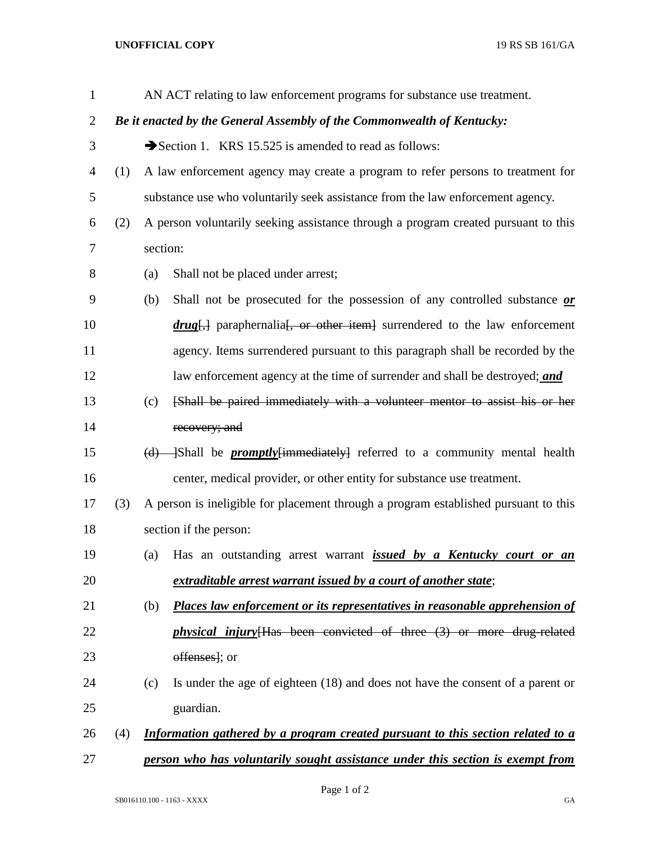## **UNOFFICIAL COPY** 19 RS SB 161/GA

| $\mathbf{1}$   |                                                                        |                        | AN ACT relating to law enforcement programs for substance use treatment.            |  |
|----------------|------------------------------------------------------------------------|------------------------|-------------------------------------------------------------------------------------|--|
| $\overline{2}$ | Be it enacted by the General Assembly of the Commonwealth of Kentucky: |                        |                                                                                     |  |
| 3              |                                                                        |                        | Section 1. KRS 15.525 is amended to read as follows:                                |  |
| 4              | (1)                                                                    |                        | A law enforcement agency may create a program to refer persons to treatment for     |  |
| 5              |                                                                        |                        | substance use who voluntarily seek assistance from the law enforcement agency.      |  |
| 6              | (2)                                                                    |                        | A person voluntarily seeking assistance through a program created pursuant to this  |  |
| 7              |                                                                        | section:               |                                                                                     |  |
| 8              |                                                                        | (a)                    | Shall not be placed under arrest;                                                   |  |
| 9              |                                                                        | (b)                    | Shall not be prosecuted for the possession of any controlled substance or           |  |
| 10             |                                                                        |                        | $drug$ , paraphernalia, or other item surrendered to the law enforcement            |  |
| 11             |                                                                        |                        | agency. Items surrendered pursuant to this paragraph shall be recorded by the       |  |
| 12             |                                                                        |                        | law enforcement agency at the time of surrender and shall be destroyed; and         |  |
| 13             |                                                                        | (c)                    | [Shall be paired immediately with a volunteer mentor to assist his or her           |  |
| 14             |                                                                        |                        | recovery; and                                                                       |  |
| 15             |                                                                        | (d)                    | Shall be <i>promptly</i> {immediately} referred to a community mental health        |  |
| 16             |                                                                        |                        | center, medical provider, or other entity for substance use treatment.              |  |
| 17             | (3)                                                                    |                        | A person is ineligible for placement through a program established pursuant to this |  |
| 18             |                                                                        | section if the person: |                                                                                     |  |
| 19             |                                                                        | (a)                    | Has an outstanding arrest warrant <i>issued by a Kentucky court or an</i>           |  |
| 20             |                                                                        |                        | extraditable arrest warrant issued by a court of another state;                     |  |
| 21             |                                                                        | (b)                    | Places law enforcement or its representatives in reasonable apprehension of         |  |
| 22             |                                                                        |                        | <i>physical injury</i> [Has been convicted of three (3) or more drug-related        |  |
| 23             |                                                                        |                        | offenses]; or                                                                       |  |
| 24             |                                                                        | (c)                    | Is under the age of eighteen (18) and does not have the consent of a parent or      |  |
| 25             |                                                                        |                        | guardian.                                                                           |  |
| 26             | (4)                                                                    |                        | Information gathered by a program created pursuant to this section related to a     |  |
| 27             |                                                                        |                        | person who has voluntarily sought assistance under this section is exempt from      |  |

Page 1 of 2